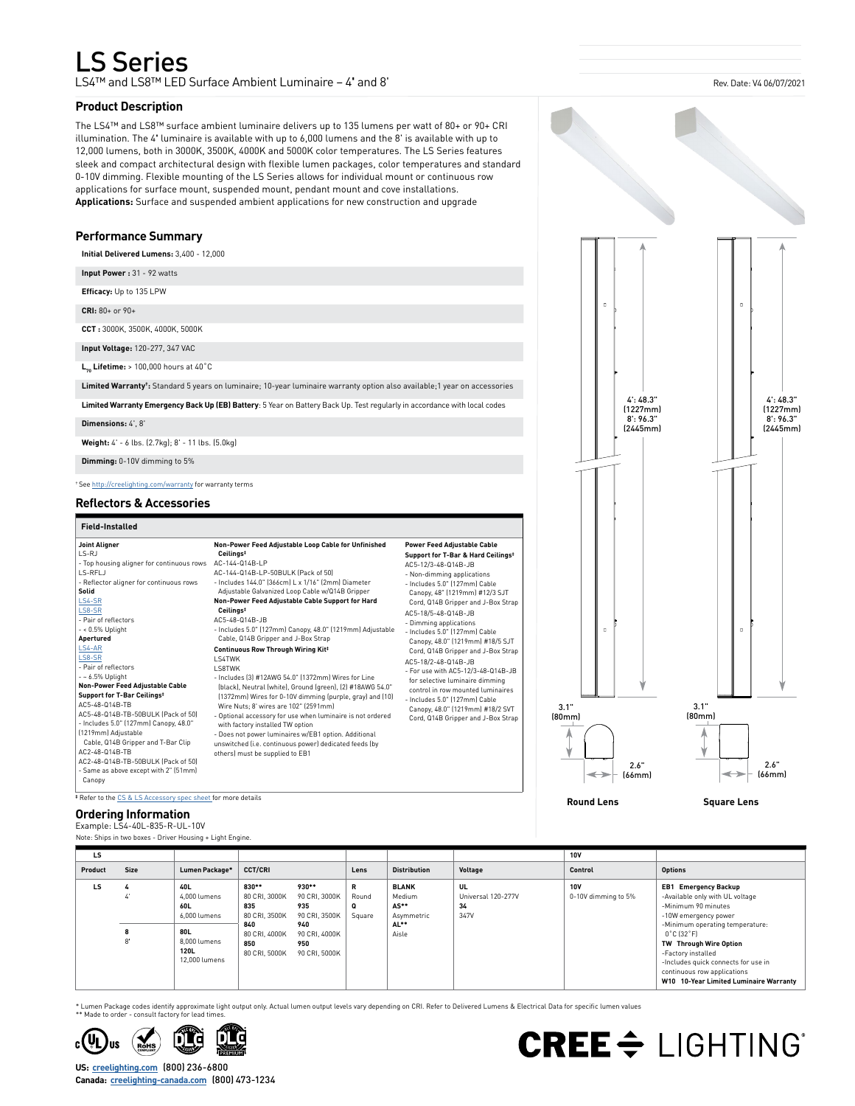## LS Series

LS4™ and LS8™ LED Surface Ambient Luminaire – 4**'** and 8'

#### **Product Description**

The LS4™ and LS8™ surface ambient luminaire delivers up to 135 lumens per watt of 80+ or 90+ CRI illumination. The 4**'** luminaire is available with up to 6,000 lumens and the 8' is available with up to 12,000 lumens, both in 3000K, 3500K, 4000K and 5000K color temperatures. The LS Series features sleek and compact architectural design with flexible lumen packages, color temperatures and standard 0-10V dimming. Flexible mounting of the LS Series allows for individual mount or continuous row applications for surface mount, suspended mount, pendant mount and cove installations. **Applications:** Surface and suspended ambient applications for new construction and upgrade

#### **Performance Summary**

**Initial Delivered Lumens:** 3,400 - 12,000

**Input Power :** 31 - 92 watts

**Efficacy:** Up to 135 LPW

**CRI:** 80+ or 90+

**CCT :** 3000K, 3500K, 4000K, 5000K

**Input Voltage:** 120-277, 347 VAC

**L70 Lifetime:** > 100,000 hours at 40˚C

**Limited Warranty†:** Standard 5 years on luminaire; 10-year luminaire warranty option also available;1 year on accessories

**Limited Warranty Emergency Back Up (EB) Battery**: 5 Year on Battery Back Up. Test regularly in accordance with local codes

**Dimensions:** 4', 8'

**Weight:** 4' - 6 lbs. (2.7kg); 8' - 11 lbs. (5.0kg)

**Dimming:** 0-10V dimming to 5%

† See [http://creelighting.com/warranty](https://www.creelighting.com/warranty) for warranty terms

#### **Reflectors & Accessories**

#### **Field-Installed**

| Field-Installed                                                                                                                                                                                                                                                                                                                                                                                                                                                                                                                                                                                                                                  |                                                                                                                                                                                                                                                                                                                                                                                                                                                                                                                                                                                                                                                                                                                                                                                                                                                                                                                                                                                                                  |                                                                                                                                                                                                                                                                                                                                                                                                                                                                                                                                                                                                                                                                |                   |                                                       |
|--------------------------------------------------------------------------------------------------------------------------------------------------------------------------------------------------------------------------------------------------------------------------------------------------------------------------------------------------------------------------------------------------------------------------------------------------------------------------------------------------------------------------------------------------------------------------------------------------------------------------------------------------|------------------------------------------------------------------------------------------------------------------------------------------------------------------------------------------------------------------------------------------------------------------------------------------------------------------------------------------------------------------------------------------------------------------------------------------------------------------------------------------------------------------------------------------------------------------------------------------------------------------------------------------------------------------------------------------------------------------------------------------------------------------------------------------------------------------------------------------------------------------------------------------------------------------------------------------------------------------------------------------------------------------|----------------------------------------------------------------------------------------------------------------------------------------------------------------------------------------------------------------------------------------------------------------------------------------------------------------------------------------------------------------------------------------------------------------------------------------------------------------------------------------------------------------------------------------------------------------------------------------------------------------------------------------------------------------|-------------------|-------------------------------------------------------|
| <b>Joint Aligner</b><br>LS-RJ<br>- Top housing aligner for continuous rows<br>LS-RFLJ<br>- Reflector aligner for continuous rows<br>Solid<br>LS4-SR<br>LS8-SR<br>- Pair of reflectors<br>$-$ < 0.5% Uplight<br>Apertured<br>LS4-AR<br>LS8-SR<br>- Pair of reflectors<br>$ -$ 6.5% Uplight<br>Non-Power Feed Adjustable Cable<br>Support for T-Bar Ceilings <sup>‡</sup><br>AC5-48-014B-TB<br>AC5-48-Q14B-TB-50BULK (Pack of 50)<br>- Includes 5.0" (127mm) Canopy, 48.0"<br>(1219mm) Adjustable<br>Cable, Q14B Gripper and T-Bar Clip<br>AC2-48-014B-TB<br>AC2-48-Q14B-TB-50BULK (Pack of 50)<br>- Same as above except with 2" (51mm)<br>Canopy | Non-Power Feed Adjustable Loop Cable for Unfinished<br>Ceilings <sup>#</sup><br>AC-144-Q14B-LP<br>AC-144-Q14B-LP-50BULK (Pack of 50)<br>- Includes 144.0" (366cm) L x 1/16" (2mm) Diameter<br>Adjustable Galvanized Loop Cable w/Q14B Gripper<br>Non-Power Feed Adjustable Cable Support for Hard<br>Ceilings <sup>#</sup><br>AC5-48-014B-JB<br>- Includes 5.0" (127mm) Canopy, 48.0" (1219mm) Adjustable<br>Cable, Q14B Gripper and J-Box Strap<br>Continuous Row Through Wiring Kit <sup>‡</sup><br>I S4TWK<br><b>I S8TWK</b><br>- Includes (3) #12AWG 54.0" (1372mm) Wires for Line<br>(black), Neutral (white), Ground (green), (2) #18AWG 54.0"<br>[1372mm] Wires for 0-10V dimming (purple, gray) and [10]<br>Wire Nuts: 8' wires are 102" [2591mm]<br>- Optional accessory for use when luminaire is not ordered<br>with factory installed TW option<br>- Does not power luminaires w/EB1 option. Additional<br>unswitched (i.e. continuous power) dedicated feeds (by<br>others) must be supplied to EB1 | <b>Power Feed Adjustable Cable</b><br>Support for T-Bar & Hard Ceilings <sup>‡</sup><br>AC5-12/3-48-Q14B-JB<br>- Non-dimming applications<br>- Includes 5.0" [127mm] Cable<br>Canopy, 48" (1219mm) #12/3 SJT<br>Cord, Q14B Gripper and J-Box Strap<br>AC5-18/5-48-014B-JB<br>- Dimming applications<br>- Includes 5.0" (127mm) Cable<br>Canopy, 48.0" (1219mm) #18/5 SJT<br>Cord, Q14B Gripper and J-Box Strap<br>AC5-18/2-48-014B-JB<br>- For use with AC5-12/3-48-014B-JB<br>for selective luminaire dimming<br>control in row mounted luminaires<br>- Includes 5.0" [127mm] Cable<br>Canopy, 48.0" (1219mm) #18/2 SVT<br>Cord, Q14B Gripper and J-Box Strap | 3.1"<br>[80mm]    | 3.1"<br>[80mm]<br>2.6"<br>$\leftrightarrow$<br>[66mm] |
| Refer to the CS & LS Accessory spec sheet for more details                                                                                                                                                                                                                                                                                                                                                                                                                                                                                                                                                                                       |                                                                                                                                                                                                                                                                                                                                                                                                                                                                                                                                                                                                                                                                                                                                                                                                                                                                                                                                                                                                                  |                                                                                                                                                                                                                                                                                                                                                                                                                                                                                                                                                                                                                                                                | <b>Round Lens</b> | <b>Square Lens</b>                                    |



Example: LS4-40L-835-R-UL-10V

Note: Ships in two boxes - Driver Housing + Light Engine.

| LS      |             |                                                                                            |                                                                                                |                                                                                                |                           |                                                               |                                        | <b>10V</b>                        |                                                                                                                                                                                                                                                                                                                                                     |
|---------|-------------|--------------------------------------------------------------------------------------------|------------------------------------------------------------------------------------------------|------------------------------------------------------------------------------------------------|---------------------------|---------------------------------------------------------------|----------------------------------------|-----------------------------------|-----------------------------------------------------------------------------------------------------------------------------------------------------------------------------------------------------------------------------------------------------------------------------------------------------------------------------------------------------|
| Product | <b>Size</b> | Lumen Package*                                                                             | <b>CCT/CRI</b>                                                                                 |                                                                                                | Lens                      | <b>Distribution</b>                                           | Voltage                                | Control                           | <b>Options</b>                                                                                                                                                                                                                                                                                                                                      |
| LS      | <br>8<br>8' | 40L<br>4.000 lumens<br>60L<br>6.000 lumens<br>80L<br>8.000 lumens<br>120L<br>12,000 lumens | 830**<br>80 CRI. 3000K<br>835<br>80 CRI. 3500K<br>840<br>80 CRI. 4000K<br>850<br>80 CRI, 5000K | 930**<br>90 CRI. 3000K<br>935<br>90 CRI. 3500K<br>940<br>90 CRI. 4000K<br>950<br>90 CRI. 5000K | R<br>Round<br>Q<br>Square | <b>BLANK</b><br>Medium<br>AS**<br>Asymmetric<br>AL**<br>Aisle | UL<br>Universal 120-277V<br>34<br>347V | <b>10V</b><br>0-10V dimming to 5% | <b>EB1</b> Emergency Backup<br>-Available only with UL voltage<br>-Minimum 90 minutes<br>-10W emergency power<br>-Minimum operating temperature:<br>$0^{\circ}$ C (32 $^{\circ}$ F)<br>TW Through Wire Option<br>-Factory installed<br>-Includes quick connects for use in<br>continuous row applications<br>W10 10-Year Limited Luminaire Warranty |

\* Lumen Package codes identify approximate light output only. Actual lumen output levels vary depending on CRI. Refer to Delivered Lumens & Electrical Data for specific lumen values<br>\*\* Made to order - consult factory for l



**US: [creelighting.com](http://www.creelighting.com)** (800) 236-6800 **Canada: [creelighting-canada.com](http://www.creelighting-canada.com)** (800) 473-1234

4': 48.3" (1227mm) 8': 96.3"





Rev. Date: V4 06/07/2021

4': 48.3" (1227mm) 8': 96.3"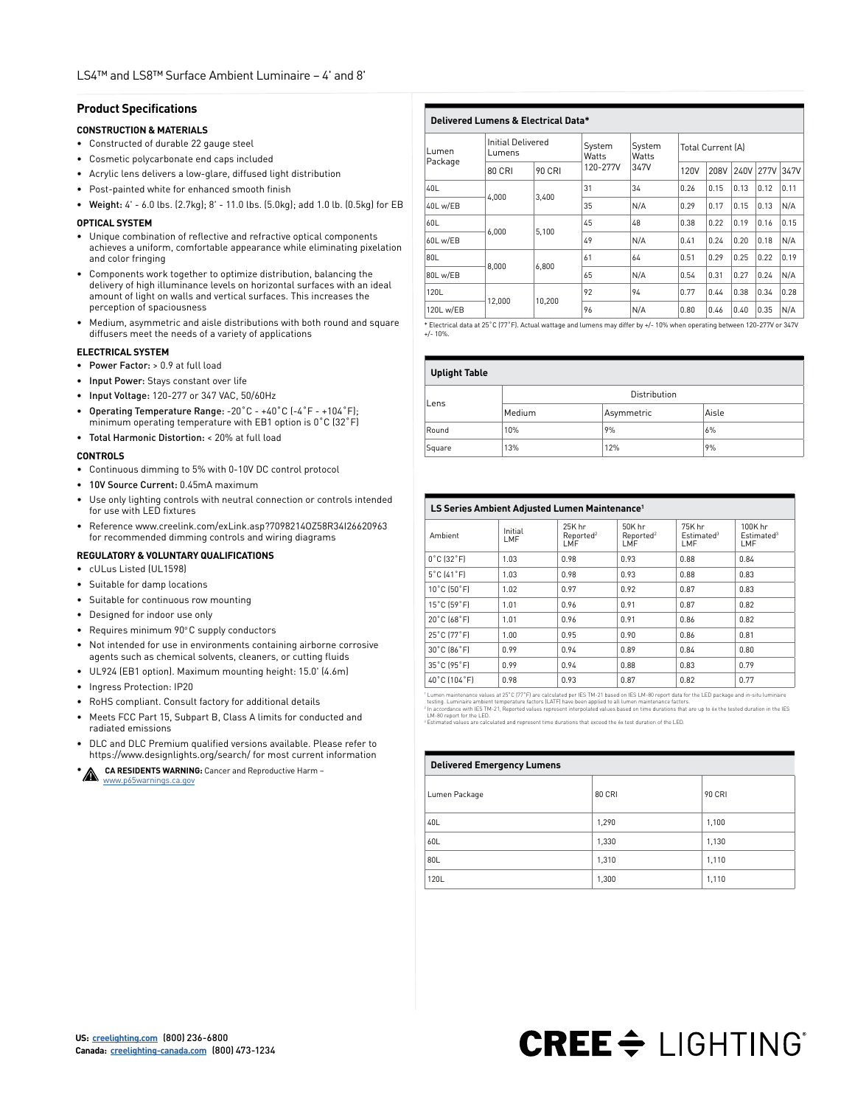#### **Product Specifications**

#### **CONSTRUCTION & MATERIALS**

- Constructed of durable 22 gauge steel
- Cosmetic polycarbonate end caps included
- Acrylic lens delivers a low-glare, diffused light distribution
- Post-painted white for enhanced smooth finish
- Weight: 4' 6.0 lbs. (2.7kg); 8' 11.0 lbs. (5.0kg); add 1.0 lb. (0.5kg) for EB

#### **OPTICAL SYSTEM**

- Unique combination of reflective and refractive optical components achieves a uniform, comfortable appearance while eliminating pixelation and color fringing
- Components work together to optimize distribution, balancing the delivery of high illuminance levels on horizontal surfaces with an ideal amount of light on walls and vertical surfaces. This increases the perception of spaciousness
- Medium, asymmetric and aisle distributions with both round and square diffusers meet the needs of a variety of applications

#### **ELECTRICAL SYSTEM**

- Power Factor: > 0.9 at full load
- Input Power: Stays constant over life
- Input Voltage: 120-277 or 347 VAC, 50/60Hz
- Operating Temperature Range: -20˚C +40˚C (-4˚F +104˚F); minimum operating temperature with EB1 option is 0˚C (32˚F)
- Total Harmonic Distortion: < 20% at full load

#### **CONTROLS**

- Continuous dimming to 5% with 0-10V DC control protocol
- 10V Source Current: 0.45mA maximum
- Use only lighting controls with neutral connection or controls intended for use with LED fixtures
- Reference www.creelink.com/exLink.asp?7098214OZ58R34I26620963 for recommended dimming controls and wiring diagrams

#### **REGULATORY & VOLUNTARY QUALIFICATIONS**

- cULus Listed (UL1598)
- Suitable for damp locations
- Suitable for continuous row mounting
- Designed for indoor use only
- Requires minimum 90°C supply conductors
- Not intended for use in environments containing airborne corrosive agents such as chemical solvents, cleaners, or cutting fluids
- UL924 (EB1 option). Maximum mounting height: 15.0' (4.6m)
- Ingress Protection: IP20
- RoHS compliant. Consult factory for additional details
- Meets FCC Part 15, Subpart B, Class A limits for conducted and radiated emissions
- DLC and DLC Premium qualified versions available. Please refer to https://www.designlights.org/search/ for most current information

**CA RESIDENTS WARNING:** Cancer and Reproductive Harm – [www.p65warnings.ca.gov](https://www.p65warnings.ca.gov)

**Delivered Lumens & Electrical Data\*** Lumen Package Initial Delivered Initial Delivered<br>Lumens System **Watts** 120-277V System **Watts** 347V Total Current (A) 80 CRI 90 CRI  $120 - 277V$  347V  $120V$  208V 240V 277V 347V 40L 4,000 3,400 31 34 0.26 0.15 0.13 0.12 0.11 40L w/EB 35 N/A 0.29 0.17 0.15 0.13 N/A 60L 6,000 5,100 45 48 0.38 0.22 0.19 0.16 0.15 60L w/EB 49 N/A 0.41 0.24 0.20 0.18 N/A 80L 8,000 6,800 61 64 0.51 0.29 0.25 0.22 0.19 80L w/EB 65 N/A 0.54 0.31 0.27 0.24 N/A 120L 12,000 10,200 92 94 0.77 0.44 0.38 0.34 0.28 120L w/EB 96 N/A 0.80 0.46 0.40 0.35 N/A

\* Electrical data at 25˚C (77˚F). Actual wattage and lumens may differ by +/- 10% when operating between 120-277V or 347V +/- 10%.

#### **Uplight Table**

| <b>Opugne</b> rapic |              |            |       |  |  |  |
|---------------------|--------------|------------|-------|--|--|--|
| Lens                | Distribution |            |       |  |  |  |
|                     | Medium       | Asymmetric | Aisle |  |  |  |
| Round               | 10%          | 9%         | 6%    |  |  |  |
| Square              | 13%          | 12%        | 9%    |  |  |  |

| LS Series Ambient Adjusted Lumen Maintenance <sup>1</sup> |                |                                        |                                        |                                         |                                          |  |
|-----------------------------------------------------------|----------------|----------------------------------------|----------------------------------------|-----------------------------------------|------------------------------------------|--|
| Ambient                                                   | Initial<br>LMF | 25K hr<br>Reported <sup>2</sup><br>LMF | 50K hr<br>Reported <sup>2</sup><br>LMF | 75K hr<br>Estimated <sup>3</sup><br>LMF | 100K hr<br>Estimated <sup>3</sup><br>LMF |  |
| $0^{\circ}$ C $[32^{\circ}$ F]                            | 1.03           | 0.98                                   | 0.93                                   | 0.88.                                   | 0.84                                     |  |
| $5^{\circ}$ C $[41^{\circ}$ F $]$                         | 1.03           | 0.98                                   | 0.93                                   | 0.88                                    | 0.83                                     |  |
| 10°C (50°F)                                               | 1.02           | 0.97                                   | 0.92                                   | 0.87                                    | 0.83                                     |  |
| 15°C (59°F)                                               | 1.01           | 0.96                                   | 0.91                                   | 0.87                                    | 0.82                                     |  |
| 20°C [68°F]                                               | 1.01           | 0.96                                   | 0.91                                   | 0.86                                    | 0.82                                     |  |
| 25°C [77°F]                                               | 1.00           | 0.95                                   | 0.90                                   | 0.86                                    | 0.81                                     |  |
| 30°C [86°F]                                               | 0.99           | 0.94                                   | 0.89                                   | 0.84                                    | 0.80                                     |  |
| 35°C (95°F)                                               | 0.99           | 0.94                                   | 0.88                                   | 0.83                                    | 0.79                                     |  |
| 40°C [104°F]                                              | 0.98           | 0.93                                   | 0.87                                   | 0.82                                    | 0.77                                     |  |

 $\begin{tabular}{|c|c|c|c|c|c|c|} \hline & $\mathsf{AOC}$ & $\mathsf{O}.98$ & $\mathsf{O}.93$ & $\mathsf{O}.87$ & $\mathsf{O}.82$ & $\mathsf{O}.77$ & $\mathsf{O}.77$ & $\mathsf{O}.76$ & $\mathsf{O}.77$ & $\mathsf{O}.76$ & $\mathsf{O}.76$ & $\mathsf{O}.76$ & $\mathsf{O}.76$ & $\mathsf{O}.76$ & $\mathsf{O}.76$ & $\mathsf{O}.76$ & $\mathsf{O}.76$ & $\mathsf{O}.76$ & $\mathsf{O}.76$ & $\mathsf{O}.$ 

| <b>Delivered Emergency Lumens</b> |               |               |  |  |  |  |
|-----------------------------------|---------------|---------------|--|--|--|--|
| Lumen Package                     | <b>80 CRI</b> | <b>90 CRI</b> |  |  |  |  |
| 40L                               | 1,290         | 1,100         |  |  |  |  |
| 60L                               | 1,330         | 1,130         |  |  |  |  |
| 80L                               | 1,310         | 1,110         |  |  |  |  |
| 120L                              | 1,300         | 1,110         |  |  |  |  |

# **CREE & LIGHTING**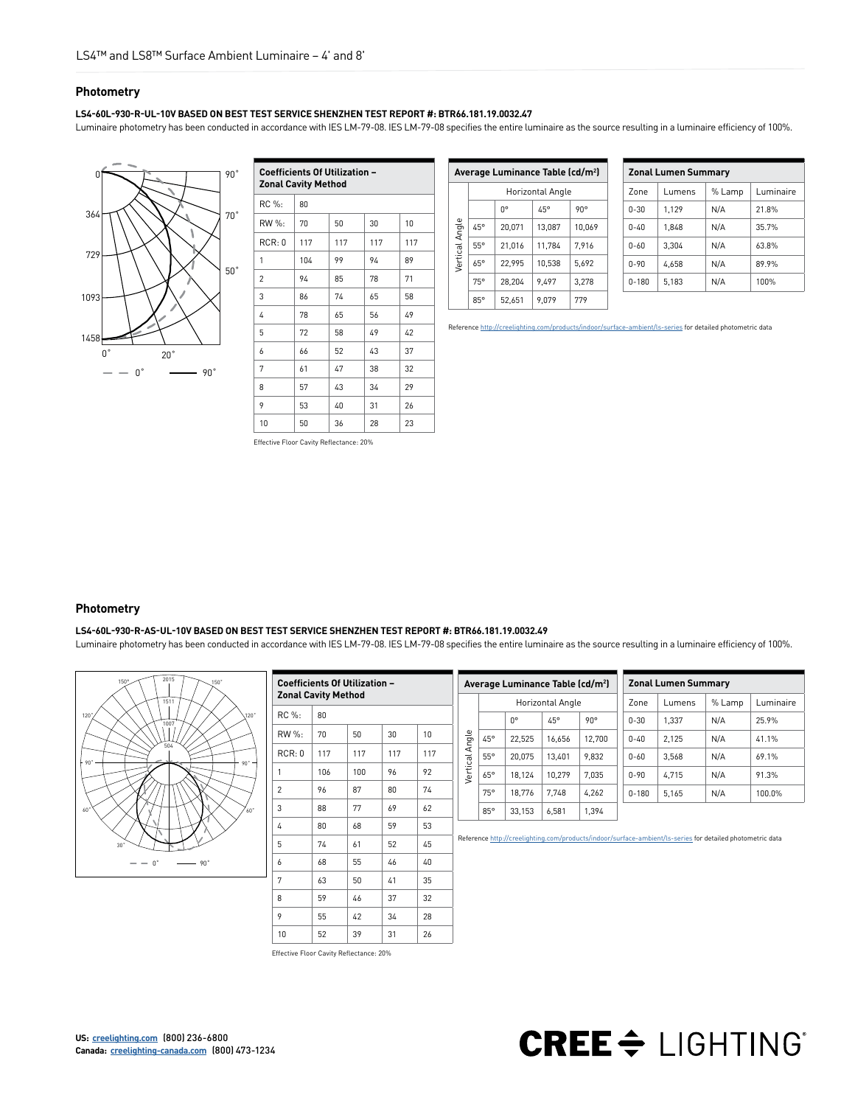#### **Photometry**

#### **LS4-60L-930-R-UL-10V BASED ON BEST TEST SERVICE SHENZHEN TEST REPORT #: BTR66.181.19.0032.47**

Luminaire photometry has been conducted in accordance with IES LM-79-08. IES LM-79-08 specifies the entire luminaire as the source resulting in a luminaire efficiency of 100%.



| <b>Coefficients Of Utilization -</b><br><b>Zonal Cavity Method</b> |     |     |     |     |  |  |  |
|--------------------------------------------------------------------|-----|-----|-----|-----|--|--|--|
| RC %:                                                              | 80  |     |     |     |  |  |  |
| RW %:                                                              | 70  | 50  | 30  | 10  |  |  |  |
| RCR: 0                                                             | 117 | 117 | 117 | 117 |  |  |  |
| 1                                                                  | 104 | 99  | 94  | 89  |  |  |  |
| 2                                                                  | 94  | 85  | 78  | 71  |  |  |  |
| 3                                                                  | 86  | 74  | 65  | 58  |  |  |  |
| 4                                                                  | 78  | 65  | 56  | 49  |  |  |  |
| 5                                                                  | 72  | 58  | 49  | 42  |  |  |  |
| 6                                                                  | 66  | 52  | 43  | 37  |  |  |  |
| 7                                                                  | 61  | 47  | 38  | 32  |  |  |  |
| 8                                                                  | 57  | 43  | 34  | 29  |  |  |  |
| 9                                                                  | 53  | 40  | 31  | 26  |  |  |  |
| 10                                                                 | 50  | 36  | 28  | 23  |  |  |  |

| Average Luminance Table (cd/m <sup>2</sup> ) |                  |        |        |              |  |  |
|----------------------------------------------|------------------|--------|--------|--------------|--|--|
|                                              | Horizontal Angle |        |        |              |  |  |
|                                              |                  | n۰     | 45°    | $90^{\circ}$ |  |  |
|                                              | 45°              | 20,071 | 13,087 | 10,069       |  |  |
| Vertical Angle                               | 55°              | 21.016 | 11.784 | 7.916        |  |  |
|                                              | 65°              | 22.995 | 10.538 | 5.692        |  |  |
|                                              | 75°              | 28.204 | 9.497  | 3.278        |  |  |
|                                              | $85^\circ$       | 52.651 | 9.079  | 779          |  |  |

| <b>Zonal Lumen Summary</b> |        |        |           |  |  |  |
|----------------------------|--------|--------|-----------|--|--|--|
| Zone                       | Lumens | % Lamp | Luminaire |  |  |  |
| $0 - 30$                   | 1.129  | N/A    | 21.8%     |  |  |  |
| $0 - 40$                   | 1.848  | N/A    | 35.7%     |  |  |  |
| $n - \kappa n$             | 3,304  | N/A    | 63.8%     |  |  |  |
| $0 - 90$                   | 4.658  | N/A    | 89.9%     |  |  |  |
| $0 - 180$                  | 5.183  | N/A    | 100%      |  |  |  |

Reference [http://creelighting.com/products/indoor/surface-ambient/ls-series](https://www.creelighting.com/products/indoor/surface-ambient/ls-series) for detailed photometric data

Effective Floor Cavity Reflectance: 20%

### **Photometry**

#### **LS4-60L-930-R-AS-UL-10V BASED ON BEST TEST SERVICE SHENZHEN TEST REPORT #: BTR66.181.19.0032.49**

Luminaire photometry has been conducted in accordance with IES LM-79-08. IES LM-79-08 specifies the entire luminaire as the source resulting in a luminaire efficiency of 100%.



| <b>Coefficients Of Utilization -</b><br><b>Zonal Cavity Method</b> |     |     |     |     |  |  |
|--------------------------------------------------------------------|-----|-----|-----|-----|--|--|
| RC %:                                                              | 80  |     |     |     |  |  |
| RW %:                                                              | 70  | 50  | 30  | 10  |  |  |
| RCR:0                                                              | 117 | 117 | 117 | 117 |  |  |
| 1                                                                  | 106 | 100 | 96  | 92  |  |  |
| $\overline{2}$                                                     | 96  | 87  | 80  | 74  |  |  |
| 3                                                                  | 88  | 77  | 69  | 62  |  |  |
| 4                                                                  | 80  | 68  | 59  | 53  |  |  |
| 5                                                                  | 74  | 61  | 52  | 45  |  |  |
| 6                                                                  | 68  | 55  | 46  | 40  |  |  |
| 7                                                                  | 63  | 50  | 41  | 35  |  |  |
| 8                                                                  | 59  | 46  | 37  | 32  |  |  |
| 9                                                                  | 55  | 42  | 34  | 28  |  |  |
| 10                                                                 | 52  | 39  | 31  | 26  |  |  |

| Average Luminance Table (cd/m <sup>2</sup> ) |            |             |                  | <b>Zonal Lumen Summary</b> |           |        |        |           |
|----------------------------------------------|------------|-------------|------------------|----------------------------|-----------|--------|--------|-----------|
|                                              |            |             | Horizontal Angle |                            | Zone      | Lumens | % Lamp | Luminaire |
|                                              |            | $0^{\circ}$ | $45^\circ$       | $90^\circ$                 | $0 - 30$  | 1.337  | N/A    | 25.9%     |
|                                              | $45^\circ$ | 22.525      | 16.656           | 12.700                     | $0 - 40$  | 2.125  | N/A    | 41.1%     |
| Vertical Angle                               | $55^\circ$ | 20.075      | 13.401           | 9.832                      | $0 - 60$  | 3.568  | N/A    | 69.1%     |
|                                              | $65^\circ$ | 18.124      | 10.279           | 7.035                      | $0 - 90$  | 4.715  | N/A    | 91.3%     |
|                                              | 75°        | 18.776      | 7.748            | 4.262                      | $0 - 180$ | 5.165  | N/A    | 100.0%    |
|                                              | $85^\circ$ | 33.153      | 6.581            | 1.394                      |           |        |        |           |

Reference [http://creelighting.com/products/indoor/surface-ambient/ls-series](https://www.creelighting.com/products/indoor/surface-ambient/ls-series) for detailed photometric data